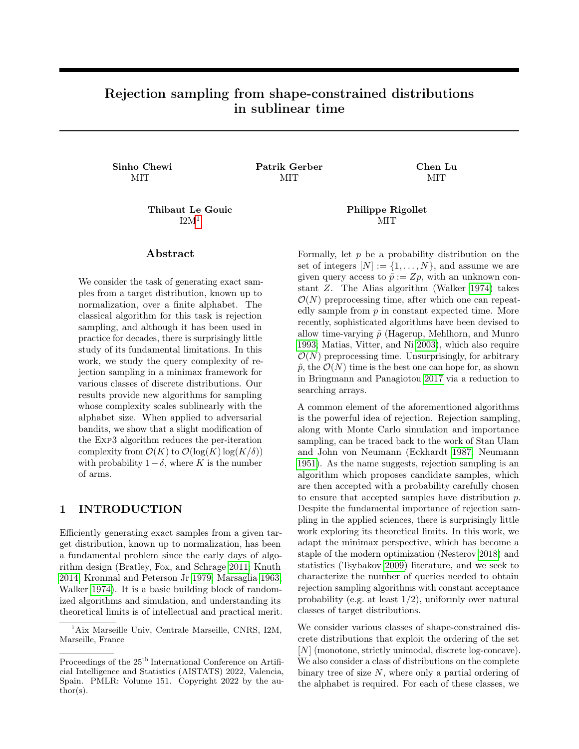# Rejection sampling from shape-constrained distributions in sublinear time

Sinho Chewi Patrik Gerber Chen Lu MIT MIT

 $I2M<sup>1</sup>$  $I2M<sup>1</sup>$  $I2M<sup>1</sup>$  MIT

# ${\rm Abstract}$

We consider the task of generating exact samples from a target distribution, known up to normalization, over a finite alphabet. The classical algorithm for this task is rejection sampling, and although it has been used in practice for decades, there is surprisingly little study of its fundamental limitations. In this work, we study the query complexity of rejection sampling in a minimax framework for various classes of discrete distributions. Our results provide new algorithms for sampling whose complexity scales sublinearly with the alphabet size. When applied to adversarial bandits, we show that a slight modification of the Exp3 algorithm reduces the per-iteration complexity from  $\mathcal{O}(K)$  to  $\mathcal{O}(\log(K) \log(K/\delta))$ with probability  $1-\delta$ , where K is the number of arms.

# 1 INTRODUCTION

Efficiently generating exact samples from a given target distribution, known up to normalization, has been a fundamental problem since the early days of algorithm design (Bratley, Fox, and Schrage [2011;](#page-6-0) Knuth [2014;](#page-6-1) Kronmal and Peterson Jr [1979;](#page-6-2) Marsaglia [1963;](#page-6-3) Walker [1974\)](#page-6-4). It is a basic building block of randomized algorithms and simulation, and understanding its theoretical limits is of intellectual and practical merit.

# Thibaut Le Gouic Philippe Rigollet

Formally, let  $p$  be a probability distribution on the set of integers  $[N] := \{1, \ldots, N\}$ , and assume we are given query access to  $\tilde{p} := Zp$ , with an unknown constant Z. The Alias algorithm (Walker [1974\)](#page-6-4) takes  $\mathcal{O}(N)$  preprocessing time, after which one can repeatedly sample from  $p$  in constant expected time. More recently, sophisticated algorithms have been devised to allow time-varying  $\tilde{p}$  (Hagerup, Mehlhorn, and Munro [1993;](#page-6-5) Matias, Vitter, and Ni [2003\)](#page-6-6), which also require  $\mathcal{O}(N)$  preprocessing time. Unsurprisingly, for arbitrary  $\tilde{p}$ , the  $\mathcal{O}(N)$  time is the best one can hope for, as shown in Bringmann and Panagiotou [2017](#page-6-7) via a reduction to searching arrays.

A common element of the aforementioned algorithms is the powerful idea of rejection. Rejection sampling, along with Monte Carlo simulation and importance sampling, can be traced back to the work of Stan Ulam and John von Neumann (Eckhardt [1987;](#page-6-8) Neumann [1951\)](#page-6-9). As the name suggests, rejection sampling is an algorithm which proposes candidate samples, which are then accepted with a probability carefully chosen to ensure that accepted samples have distribution p. Despite the fundamental importance of rejection sampling in the applied sciences, there is surprisingly little work exploring its theoretical limits. In this work, we adapt the minimax perspective, which has become a staple of the modern optimization (Nesterov [2018\)](#page-6-10) and statistics (Tsybakov [2009\)](#page-6-11) literature, and we seek to characterize the number of queries needed to obtain rejection sampling algorithms with constant acceptance probability (e.g. at least 1/2), uniformly over natural classes of target distributions.

We consider various classes of shape-constrained discrete distributions that exploit the ordering of the set [N] (monotone, strictly unimodal, discrete log-concave). We also consider a class of distributions on the complete binary tree of size  $N$ , where only a partial ordering of the alphabet is required. For each of these classes, we

<span id="page-0-0"></span><sup>1</sup>Aix Marseille Univ, Centrale Marseille, CNRS, I2M, Marseille, France

Proceedings of the  $25<sup>th</sup>$  International Conference on Artificial Intelligence and Statistics (AISTATS) 2022, Valencia, Spain. PMLR: Volume 151. Copyright 2022 by the au- $\text{thor}(s)$ .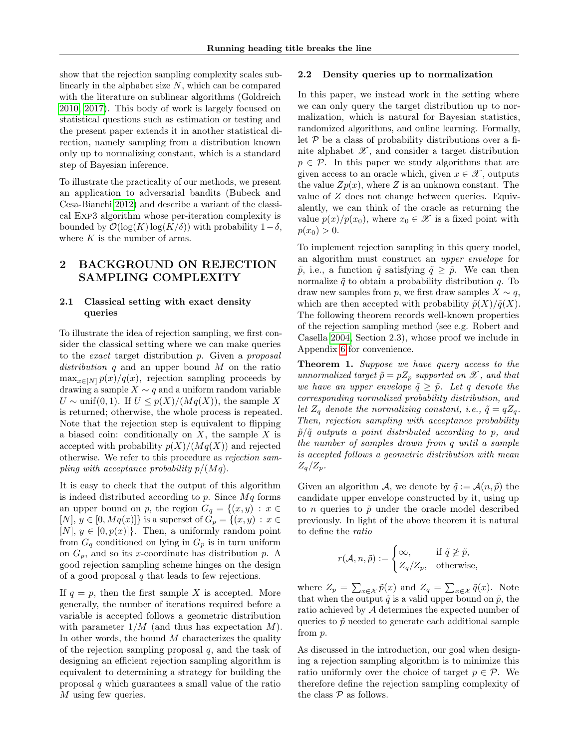show that the rejection sampling complexity scales sublinearly in the alphabet size  $N$ , which can be compared with the literature on sublinear algorithms (Goldreich [2010,](#page-6-12) [2017\)](#page-6-13). This body of work is largely focused on statistical questions such as estimation or testing and the present paper extends it in another statistical direction, namely sampling from a distribution known only up to normalizing constant, which is a standard step of Bayesian inference.

To illustrate the practicality of our methods, we present an application to adversarial bandits (Bubeck and Cesa-Bianchi [2012\)](#page-6-14) and describe a variant of the classical Exp3 algorithm whose per-iteration complexity is bounded by  $\mathcal{O}(\log(K)\log(K/\delta))$  with probability  $1-\delta$ , where  $K$  is the number of arms.

# 2 BACKGROUND ON REJECTION SAMPLING COMPLEXITY

# 2.1 Classical setting with exact density queries

To illustrate the idea of rejection sampling, we first consider the classical setting where we can make queries to the exact target distribution p. Given a proposal distribution q and an upper bound M on the ratio  $\max_{x \in [N]} p(x)/q(x)$ , rejection sampling proceeds by drawing a sample  $X \sim q$  and a uniform random variable  $U \sim \text{unif}(0, 1)$ . If  $U \leq p(X)/(Mq(X))$ , the sample X is returned; otherwise, the whole process is repeated. Note that the rejection step is equivalent to flipping a biased coin: conditionally on  $X$ , the sample  $X$  is accepted with probability  $p(X)/(Mq(X))$  and rejected otherwise. We refer to this procedure as rejection sampling with acceptance probability  $p/(Mq)$ .

It is easy to check that the output of this algorithm is indeed distributed according to  $p$ . Since  $Mq$  forms an upper bound on p, the region  $G_q = \{(x, y) : x \in$ [N],  $y \in [0, Mq(x)]$  is a superset of  $G_p = \{(x, y) : x \in$  $[N], y \in [0, p(x)]\}$ . Then, a uniformly random point from  $G_q$  conditioned on lying in  $G_p$  is in turn uniform on  $G_p$ , and so its x-coordinate has distribution p. A good rejection sampling scheme hinges on the design of a good proposal  $q$  that leads to few rejections.

If  $q = p$ , then the first sample X is accepted. More generally, the number of iterations required before a variable is accepted follows a geometric distribution with parameter  $1/M$  (and thus has expectation M). In other words, the bound  $M$  characterizes the quality of the rejection sampling proposal  $q$ , and the task of designing an efficient rejection sampling algorithm is equivalent to determining a strategy for building the proposal q which guarantees a small value of the ratio M using few queries.

#### <span id="page-1-0"></span>2.2 Density queries up to normalization

In this paper, we instead work in the setting where we can only query the target distribution up to normalization, which is natural for Bayesian statistics, randomized algorithms, and online learning. Formally, let  $P$  be a class of probability distributions over a finite alphabet  $\mathscr{X}$ , and consider a target distribution  $p \in \mathcal{P}$ . In this paper we study algorithms that are given access to an oracle which, given  $x \in \mathcal{X}$ , outputs the value  $Zp(x)$ , where Z is an unknown constant. The value of Z does not change between queries. Equivalently, we can think of the oracle as returning the value  $p(x)/p(x_0)$ , where  $x_0 \in \mathcal{X}$  is a fixed point with  $p(x_0) > 0.$ 

To implement rejection sampling in this query model, an algorithm must construct an upper envelope for  $\tilde{p}$ , i.e., a function  $\tilde{q}$  satisfying  $\tilde{q} \geq \tilde{p}$ . We can then normalize  $\tilde{q}$  to obtain a probability distribution q. To draw new samples from p, we first draw samples  $X \sim q$ , which are then accepted with probability  $\tilde{p}(X)/\tilde{q}(X)$ . The following theorem records well-known properties of the rejection sampling method (see e.g. Robert and Casella [2004,](#page-6-15) Section 2.3), whose proof we include in Appendix [6](#page-7-0) for convenience.

Theorem 1. Suppose we have query access to the unnormalized target  $\tilde{p} = pZ_p$  supported on  $\mathscr X$ , and that we have an upper envelope  $\tilde{q} \geq \tilde{p}$ . Let q denote the corresponding normalized probability distribution, and let  $Z_q$  denote the normalizing constant, i.e.,  $\tilde{q} = q Z_q$ . Then, rejection sampling with acceptance probability  $\tilde{p}/\tilde{q}$  outputs a point distributed according to p, and the number of samples drawn from q until a sample is accepted follows a geometric distribution with mean  $Z_q/Z_p$ .

Given an algorithm A, we denote by  $\tilde{q} := \mathcal{A}(n, \tilde{p})$  the candidate upper envelope constructed by it, using up to *n* queries to  $\tilde{p}$  under the oracle model described previously. In light of the above theorem it is natural to define the ratio

$$
r(\mathcal{A}, n, \tilde{p}) := \begin{cases} \infty, & \text{if } \tilde{q} \ngeq \tilde{p}, \\ Z_q/Z_p, & \text{otherwise}, \end{cases}
$$

where  $Z_p = \sum_{x \in \mathcal{X}} \tilde{p}(x)$  and  $Z_q = \sum_{x \in \mathcal{X}} \tilde{q}(x)$ . Note that when the output  $\tilde{q}$  is a valid upper bound on  $\tilde{p}$ , the ratio achieved by A determines the expected number of queries to  $\tilde{p}$  needed to generate each additional sample from p.

As discussed in the introduction, our goal when designing a rejection sampling algorithm is to minimize this ratio uniformly over the choice of target  $p \in \mathcal{P}$ . We therefore define the rejection sampling complexity of the class  $P$  as follows.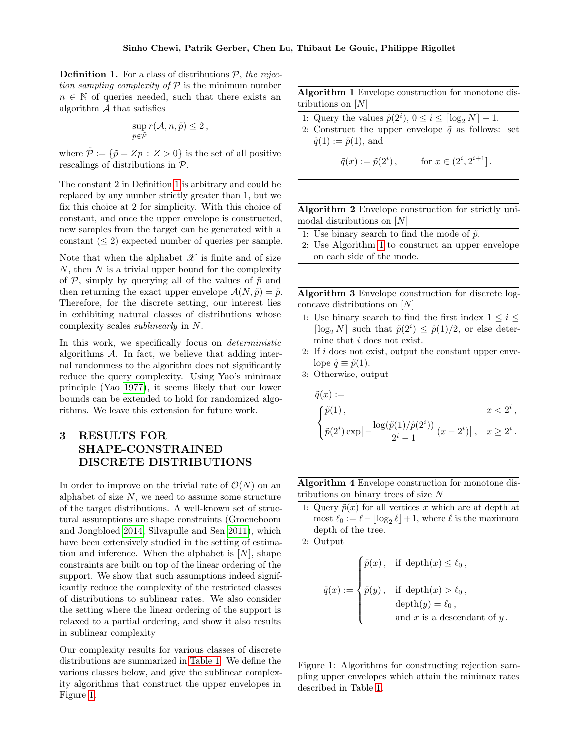<span id="page-2-0"></span>**Definition 1.** For a class of distributions  $P$ , the rejection sampling complexity of  $P$  is the minimum number  $n \in \mathbb{N}$  of queries needed, such that there exists an algorithm  $A$  that satisfies

$$
\sup_{\tilde{p}\in\tilde{\mathcal{P}}} r(\mathcal{A}, n, \tilde{p}) \leq 2\,,
$$

where  $\tilde{\mathcal{P}} := {\tilde{\mathcal{p}}} = Zp : Z > 0$  is the set of all positive rescalings of distributions in P.

The constant 2 in Definition [1](#page-2-0) is arbitrary and could be replaced by any number strictly greater than 1, but we fix this choice at 2 for simplicity. With this choice of constant, and once the upper envelope is constructed, new samples from the target can be generated with a constant  $(< 2$ ) expected number of queries per sample.

Note that when the alphabet  ${\mathscr X}$  is finite and of size  $N$ , then  $N$  is a trivial upper bound for the complexity of  $P$ , simply by querying all of the values of  $\tilde{p}$  and then returning the exact upper envelope  $\mathcal{A}(N, \tilde{p}) = \tilde{p}$ . Therefore, for the discrete setting, our interest lies in exhibiting natural classes of distributions whose complexity scales sublinearly in N.

In this work, we specifically focus on *deterministic* algorithms  $A$ . In fact, we believe that adding internal randomness to the algorithm does not significantly reduce the query complexity. Using Yao's minimax principle (Yao [1977\)](#page-6-16), it seems likely that our lower bounds can be extended to hold for randomized algorithms. We leave this extension for future work.

# 3 RESULTS FOR SHAPE-CONSTRAINED DISCRETE DISTRIBUTIONS

In order to improve on the trivial rate of  $\mathcal{O}(N)$  on an alphabet of size  $N$ , we need to assume some structure of the target distributions. A well-known set of structural assumptions are shape constraints (Groeneboom and Jongbloed [2014;](#page-6-17) Silvapulle and Sen [2011\)](#page-6-18), which have been extensively studied in the setting of estimation and inference. When the alphabet is  $[N]$ , shape constraints are built on top of the linear ordering of the support. We show that such assumptions indeed significantly reduce the complexity of the restricted classes of distributions to sublinear rates. We also consider the setting where the linear ordering of the support is relaxed to a partial ordering, and show it also results in sublinear complexity

Our complexity results for various classes of discrete distributions are summarized in [Table 1.](#page-3-0) We define the various classes below, and give the sublinear complexity algorithms that construct the upper envelopes in Figure [1.](#page-2-1)

Algorithm 1 Envelope construction for monotone distributions on  $[N]$ 

- <span id="page-2-2"></span>1: Query the values  $\tilde{p}(2^i)$ ,  $0 \le i \le \lceil \log_2 N \rceil - 1$ .
- 2: Construct the upper envelope  $\tilde{q}$  as follows: set  $\tilde{q}(1) := \tilde{p}(1)$ , and

$$
\tilde{q}(x) := \tilde{p}(2^i), \quad \text{for } x \in (2^i, 2^{i+1}].
$$

Algorithm 2 Envelope construction for strictly unimodal distributions on [N]

- <span id="page-2-3"></span>1: Use binary search to find the mode of  $\tilde{p}$ .
- 2: Use Algorithm [1](#page-2-2) to construct an upper envelope on each side of the mode.

Algorithm 3 Envelope construction for discrete logconcave distributions on [N]

- <span id="page-2-4"></span>1: Use binary search to find the first index  $1 \leq i \leq$  $\lceil \log_2 N \rceil$  such that  $\tilde{p}(2^i) \leq \tilde{p}(1)/2$ , or else determine that i does not exist.
- 2: If i does not exist, output the constant upper envelope  $\tilde{q} \equiv \tilde{p}(1)$ .
- 3: Otherwise, output

$$
\begin{aligned}\n\tilde{q}(x) &:= \\
\begin{cases}\n\tilde{p}(1), & x < 2^i, \\
\tilde{p}(2^i) \exp\left[-\frac{\log(\tilde{p}(1)/\tilde{p}(2^i))}{2^i - 1} \left(x - 2^i\right)\right], & x \geq 2^i.\n\end{cases}\n\end{aligned}
$$

Algorithm 4 Envelope construction for monotone distributions on binary trees of size  $N$ 

- <span id="page-2-5"></span>1: Query  $\tilde{p}(x)$  for all vertices x which are at depth at most  $\ell_0 := \ell - \lfloor \log_2 \ell \rfloor + 1$ , where  $\ell$  is the maximum depth of the tree.
- 2: Output

$$
\tilde{q}(x) := \begin{cases} \tilde{p}(x), & \text{if } \operatorname{depth}(x) \leq \ell_0, \\ \tilde{p}(y), & \text{if } \operatorname{depth}(x) > \ell_0, \\ & \operatorname{depth}(y) = \ell_0, \\ & \text{and } x \text{ is a descendant of } y. \end{cases}
$$

<span id="page-2-1"></span>Figure 1: Algorithms for constructing rejection sampling upper envelopes which attain the minimax rates described in Table [1.](#page-3-0)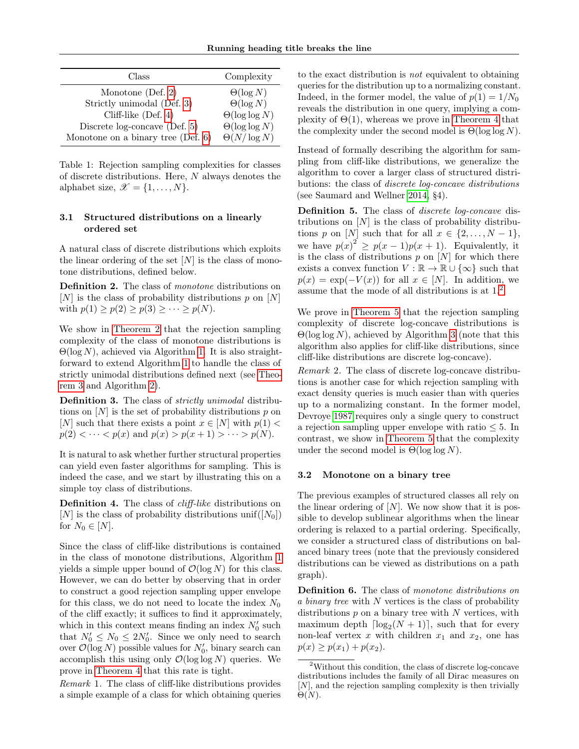| Class                                 | Complexity            |
|---------------------------------------|-----------------------|
| Monotone (Def. 2)                     | $\Theta(\log N)$      |
| Strictly unimodal (Def. 3)            | $\Theta(\log N)$      |
| Cliff-like $(Def. 4)$                 | $\Theta(\log \log N)$ |
| Discrete $log-concave$ (Def. 5)       | $\Theta(\log \log N)$ |
| Monotone on a binary tree (Def. $6$ ) | $\Theta(N/\log N)$    |

<span id="page-3-0"></span>Table 1: Rejection sampling complexities for classes of discrete distributions. Here, N always denotes the alphabet size,  $\mathscr{X} = \{1, \ldots, N\}.$ 

# 3.1 Structured distributions on a linearly ordered set

A natural class of discrete distributions which exploits the linear ordering of the set  $[N]$  is the class of monotone distributions, defined below.

<span id="page-3-1"></span>Definition 2. The class of *monotone* distributions on  $[N]$  is the class of probability distributions p on  $[N]$ with  $p(1) \ge p(2) \ge p(3) \ge \cdots \ge p(N)$ .

We show in [Theorem 2](#page-10-0) that the rejection sampling complexity of the class of monotone distributions is  $\Theta(\log N)$ , achieved via Algorithm [1.](#page-2-2) It is also straightforward to extend Algorithm [1](#page-2-2) to handle the class of strictly unimodal distributions defined next (see [Theo](#page-11-0)[rem 3](#page-11-0) and Algorithm [2\)](#page-2-3).

<span id="page-3-2"></span>Definition 3. The class of *strictly unimodal* distributions on  $[N]$  is the set of probability distributions p on [N] such that there exists a point  $x \in [N]$  with  $p(1)$  <  $p(2) < \cdots < p(x)$  and  $p(x) > p(x+1) > \cdots > p(N)$ .

It is natural to ask whether further structural properties can yield even faster algorithms for sampling. This is indeed the case, and we start by illustrating this on a simple toy class of distributions.

<span id="page-3-3"></span>Definition 4. The class of *cliff-like* distributions on [N] is the class of probability distributions unif([N<sub>0</sub>]) for  $N_0 \in [N]$ .

Since the class of cliff-like distributions is contained in the class of monotone distributions, Algorithm [1](#page-2-2) yields a simple upper bound of  $\mathcal{O}(\log N)$  for this class. However, we can do better by observing that in order to construct a good rejection sampling upper envelope for this class, we do not need to locate the index  $N_0$ of the cliff exactly; it suffices to find it approximately, which in this context means finding an index  $N'_0$  such that  $N'_0 \leq N_0 \leq 2N'_0$ . Since we only need to search over  $\mathcal{O}(\log N)$  possible values for  $N'_0$ , binary search can accomplish this using only  $\mathcal{O}(\log \log N)$  queries. We prove in [Theorem 4](#page-12-0) that this rate is tight.

Remark 1. The class of cliff-like distributions provides a simple example of a class for which obtaining queries to the exact distribution is not equivalent to obtaining queries for the distribution up to a normalizing constant. Indeed, in the former model, the value of  $p(1) = 1/N_0$ reveals the distribution in one query, implying a complexity of  $\Theta(1)$ , whereas we prove in [Theorem 4](#page-12-0) that the complexity under the second model is  $\Theta(\log \log N)$ .

Instead of formally describing the algorithm for sampling from cliff-like distributions, we generalize the algorithm to cover a larger class of structured distributions: the class of discrete log-concave distributions (see Saumard and Wellner [2014,](#page-6-19) §4).

<span id="page-3-4"></span>Definition 5. The class of *discrete log-concave* distributions on  $[N]$  is the class of probability distributions p on [N] such that for all  $x \in \{2, ..., N-1\},\$ we have  $p(x)^2 \ge p(x-1)p(x+1)$ . Equivalently, it is the class of distributions  $p$  on  $[N]$  for which there exists a convex function  $V : \mathbb{R} \to \mathbb{R} \cup {\infty}$  such that  $p(x) = \exp(-V(x))$  for all  $x \in [N]$ . In addition, we assume that the mode of all distributions is at 1. [2](#page-3-6)

We prove in [Theorem 5](#page-13-0) that the rejection sampling complexity of discrete log-concave distributions is  $\Theta(\log \log N)$ , achieved by Algorithm [3](#page-2-4) (note that this algorithm also applies for cliff-like distributions, since cliff-like distributions are discrete log-concave).

Remark 2. The class of discrete log-concave distributions is another case for which rejection sampling with exact density queries is much easier than with queries up to a normalizing constant. In the former model, Devroye [1987](#page-6-20) requires only a single query to construct a rejection sampling upper envelope with ratio  $\leq 5$ . In contrast, we show in [Theorem 5](#page-13-0) that the complexity under the second model is  $\Theta(\log \log N)$ .

# 3.2 Monotone on a binary tree

The previous examples of structured classes all rely on the linear ordering of  $[N]$ . We now show that it is possible to develop sublinear algorithms when the linear ordering is relaxed to a partial ordering. Specifically, we consider a structured class of distributions on balanced binary trees (note that the previously considered distributions can be viewed as distributions on a path graph).

<span id="page-3-5"></span>Definition 6. The class of monotone distributions on a binary tree with N vertices is the class of probability distributions  $p$  on a binary tree with  $N$  vertices, with maximum depth  $\lceil \log_2(N + 1) \rceil$ , such that for every non-leaf vertex x with children  $x_1$  and  $x_2$ , one has  $p(x) \geq p(x_1) + p(x_2)$ .

<span id="page-3-6"></span><sup>2</sup>Without this condition, the class of discrete log-concave distributions includes the family of all Dirac measures on [N], and the rejection sampling complexity is then trivially  $\Theta(N)$ .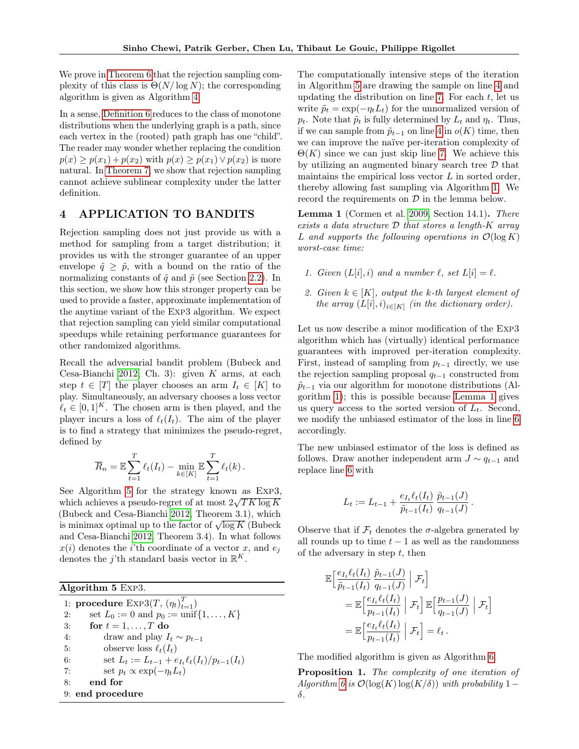We prove in [Theorem 6](#page-14-0) that the rejection sampling complexity of this class is  $\Theta(N/\log N)$ ; the corresponding algorithm is given as Algorithm [4.](#page-2-5)

In a sense, [Definition 6](#page-3-5) reduces to the class of monotone distributions when the underlying graph is a path, since each vertex in the (rooted) path graph has one "child". The reader may wonder whether replacing the condition  $p(x) > p(x_1) + p(x_2)$  with  $p(x) > p(x_1) \vee p(x_2)$  is more natural. In [Theorem 7,](#page-15-0) we show that rejection sampling cannot achieve sublinear complexity under the latter definition.

# 4 APPLICATION TO BANDITS

Rejection sampling does not just provide us with a method for sampling from a target distribution; it provides us with the stronger guarantee of an upper envelope  $\tilde{q} > \tilde{p}$ , with a bound on the ratio of the normalizing constants of  $\tilde{q}$  and  $\tilde{p}$  (see Section [2.2\)](#page-1-0). In this section, we show how this stronger property can be used to provide a faster, approximate implementation of the anytime variant of the Exp3 algorithm. We expect that rejection sampling can yield similar computational speedups while retaining performance guarantees for other randomized algorithms.

Recall the adversarial bandit problem (Bubeck and Cesa-Bianchi [2012,](#page-6-14) Ch. 3): given  $K$  arms, at each step  $t \in [T]$  the player chooses an arm  $I_t \in [K]$  to play. Simultaneously, an adversary chooses a loss vector  $\ell_t \in [0, 1]^K$ . The chosen arm is then played, and the player incurs a loss of  $\ell_t(I_t)$ . The aim of the player is to find a strategy that minimizes the pseudo-regret, defined by

$$
\overline{R}_n = \mathbb{E}\sum_{t=1}^T \ell_t(I_t) - \min_{k \in [K]} \mathbb{E}\sum_{t=1}^T \ell_t(k).
$$

See Algorithm [5](#page-4-0) for the strategy known as  $EXP3$ , which achieves a pseudo-regret of at most  $2\sqrt{T}K\log K$ (Bubeck and Cesa-Bianchi [2012,](#page-6-14) Theorem 3.1), which (Bubeck and Cesa-Blanch 2012, Theorem 3.1), which<br>is minimax optimal up to the factor of  $\sqrt{\log K}$  (Bubeck and Cesa-Bianchi [2012,](#page-6-14) Theorem 3.4). In what follows  $x(i)$  denotes the *i*'th coordinate of a vector x, and  $e_i$ denotes the j'th standard basis vector in  $\mathbb{R}^K$ .

<span id="page-4-0"></span>Algorithm 5 Exp3. 1: procedure  $\text{Exp3}(T, (\eta_t)_{t=1}^T)$ 2: set  $L_0 := 0$  and  $p_0 := \text{unif}\{1, ..., K\}$ 3: for  $t = 1, \ldots, T$  do 4: draw and play  $I_t \sim p_{t-1}$ 5: observe loss  $\ell_t(I_t)$ 

6: set 
$$
L_t := L_{t-1} + e_{I_t} \ell_t(I_t) / p_{t-1}(I_t)
$$

7: set 
$$
p_t \propto \exp(-\eta_t L_t)
$$

$$
8: \qquad \textbf{end for} \quad
$$

9: end procedure

The computationally intensive steps of the iteration in Algorithm [5](#page-4-0) are drawing the sample on line [4](#page-4-0) and updating the distribution on line [7.](#page-4-0) For each  $t$ , let us write  $\tilde{p}_t = \exp(-\eta_t L_t)$  for the unnormalized version of  $p_t$ . Note that  $\tilde{p}_t$  is fully determined by  $L_t$  and  $\eta_t$ . Thus, if we can sample from  $\tilde{p}_{t-1}$  on line [4](#page-4-0) in  $o(K)$  time, then we can improve the naïve per-iteration complexity of  $\Theta(K)$  since we can just skip line [7.](#page-4-0) We achieve this by utilizing an augmented binary search tree  $\mathcal D$  that maintains the empirical loss vector  $L$  in sorted order, thereby allowing fast sampling via Algorithm [1.](#page-2-2) We record the requirements on  $\mathcal D$  in the lemma below.

<span id="page-4-1"></span>Lemma 1 (Cormen et al. [2009,](#page-6-21) Section 14.1). There exists a data structure  $D$  that stores a length- $K$  array L and supports the following operations in  $\mathcal{O}(\log K)$ worst-case time:

- <span id="page-4-3"></span>1. Given  $(L[i], i)$  and a number  $\ell$ , set  $L[i] = \ell$ .
- <span id="page-4-2"></span>2. Given  $k \in [K]$ , output the k-th largest element of the array  $(L[i], i)_{i \in [K]}$  (in the dictionary order).

Let us now describe a minor modification of the Exp3 algorithm which has (virtually) identical performance guarantees with improved per-iteration complexity. First, instead of sampling from  $p_{t-1}$  directly, we use the rejection sampling proposal  $q_{t-1}$  constructed from  $\tilde{p}_{t-1}$  via our algorithm for monotone distributions (Algorithm [1\)](#page-2-2); this is possible because [Lemma 1](#page-4-1) gives us query access to the sorted version of  $L_t$ . Second, we modify the unbiased estimator of the loss in line [6](#page-4-0) accordingly.

The new unbiased estimator of the loss is defined as follows. Draw another independent arm  $J \sim q_{t-1}$  and replace line [6](#page-4-0) with

$$
L_t := L_{t-1} + \frac{e_{I_t} \ell_t(I_t)}{\tilde{p}_{t-1}(I_t)} \frac{\tilde{p}_{t-1}(J)}{q_{t-1}(J)}.
$$

Observe that if  $\mathcal{F}_t$  denotes the  $\sigma$ -algebra generated by all rounds up to time  $t - 1$  as well as the randomness of the adversary in step  $t$ , then

$$
\mathbb{E}\Big[\frac{e_{I_t}\ell_t(I_t)}{\tilde{p}_{t-1}(I_t)}\frac{\tilde{p}_{t-1}(J)}{q_{t-1}(J)}\Big| \mathcal{F}_t\Big]
$$
\n
$$
= \mathbb{E}\Big[\frac{e_{I_t}\ell_t(I_t)}{p_{t-1}(I_t)}\Big| \mathcal{F}_t\Big]\mathbb{E}\Big[\frac{p_{t-1}(J)}{q_{t-1}(J)}\Big| \mathcal{F}_t\Big]
$$
\n
$$
= \mathbb{E}\Big[\frac{e_{I_t}\ell_t(I_t)}{p_{t-1}(I_t)}\Big| \mathcal{F}_t\Big] = \ell_t.
$$

The modified algorithm is given as Algorithm [6.](#page-5-0)

Proposition 1. The complexity of one iteration of Algorithm [6](#page-5-0) is  $\mathcal{O}(\log(K) \log(K/\delta))$  with probability 1 – δ.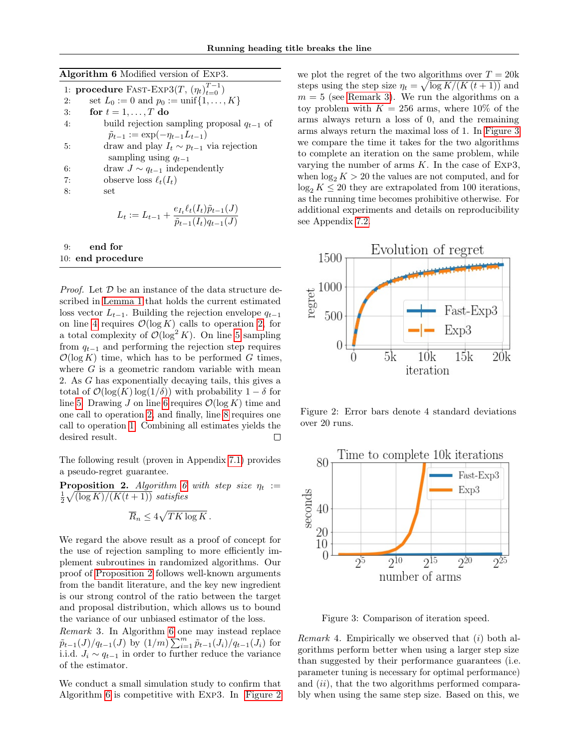Algorithm 6 Modified version of Exp3.

<span id="page-5-0"></span>

|    | 1: procedure FAST-EXP3 $(T, (\eta_t)_{t=0}^{T-1})$                                                |
|----|---------------------------------------------------------------------------------------------------|
| 2: | set $L_0 := 0$ and $p_0 := \text{unif}\{1, , K\}$                                                 |
| 3: | for $t = 1, \ldots, T$ do                                                                         |
| 4: | build rejection sampling proposal $q_{t-1}$ of                                                    |
|    | $\tilde{p}_{t-1} := \exp(-\eta_{t-1}L_{t-1})$                                                     |
| 5: | draw and play $I_t \sim p_{t-1}$ via rejection                                                    |
|    | sampling using $q_{t-1}$                                                                          |
| 6: | draw $J \sim q_{t-1}$ independently                                                               |
| 7: | observe loss $\ell_t(I_t)$                                                                        |
| 8: | set                                                                                               |
|    | $L_t := L_{t-1} + \frac{e_{I_t} \ell_t(I_t) \tilde{p}_{t-1}(J)}{\tilde{p}_{t-1}(I_t) q_{t-1}(J)}$ |

# 9: end for 10: end procedure

*Proof.* Let  $D$  be an instance of the data structure described in [Lemma 1](#page-4-1) that holds the current estimated loss vector  $L_{t-1}$ . Building the rejection envelope  $q_{t-1}$ on line [4](#page-5-0) requires  $\mathcal{O}(\log K)$  calls to operation [2,](#page-4-2) for a total complexity of  $\mathcal{O}(\log^2 K)$ . On line [5](#page-5-0) sampling from  $q_{t-1}$  and performing the rejection step requires  $\mathcal{O}(\log K)$  time, which has to be performed G times, where  $G$  is a geometric random variable with mean 2. As G has exponentially decaying tails, this gives a total of  $\mathcal{O}(\log(K) \log(1/\delta))$  with probability  $1 - \delta$  for line [5.](#page-5-0) Drawing J on line [6](#page-5-0) requires  $\mathcal{O}(\log K)$  time and one call to operation [2,](#page-4-2) and finally, line [8](#page-5-0) requires one call to operation [1.](#page-4-3) Combining all estimates yields the desired result.  $\Box$ 

The following result (proven in Appendix [7.1\)](#page-7-1) provides a pseudo-regret guarantee.

<span id="page-5-1"></span>**Proposition 2.** Algorithm [6](#page-5-0) with step size  $\eta_t :=$  $\frac{1}{2}\sqrt{(\log K)/(K(t+1))}$  satisfies

$$
\overline{R}_n \le 4\sqrt{TK\log K}.
$$

We regard the above result as a proof of concept for the use of rejection sampling to more efficiently implement subroutines in randomized algorithms. Our proof of [Proposition 2](#page-5-1) follows well-known arguments from the bandit literature, and the key new ingredient is our strong control of the ratio between the target and proposal distribution, which allows us to bound the variance of our unbiased estimator of the loss.

<span id="page-5-3"></span>Remark 3. In Algorithm [6](#page-5-0) one may instead replace  $\tilde{p}_{t-1}(J)/q_{t-1}(J)$  by  $(1/m)\sum_{i=1}^{m} \tilde{p}_{t-1}(J_i)/q_{t-1}(J_i)$  for i.i.d.  $J_i \sim q_{t-1}$  in order to further reduce the variance of the estimator.

We conduct a small simulation study to confirm that Algorithm [6](#page-5-0) is competitive with Exp3. In [Figure 2](#page-5-2) we plot the regret of the two algorithms over  $T = 20k$ steps using the step size  $\eta_t = \sqrt{\log K/(K(t+1))}$  and  $m = 5$  (see [Remark 3\)](#page-5-3). We run the algorithms on a toy problem with  $K = 256$  arms, where 10% of the arms always return a loss of 0, and the remaining arms always return the maximal loss of 1. In [Figure 3](#page-5-4) we compare the time it takes for the two algorithms to complete an iteration on the same problem, while varying the number of arms  $K$ . In the case of Exp3, when  $\log_2 K > 20$  the values are not computed, and for  $\log_2 K \leq 20$  they are extrapolated from 100 iterations, as the running time becomes prohibitive otherwise. For additional experiments and details on reproducibility see Appendix [7.2.](#page-9-0)



<span id="page-5-2"></span>Figure 2: Error bars denote 4 standard deviations over 20 runs.



<span id="page-5-4"></span>Figure 3: Comparison of iteration speed.

*Remark* 4. Empirically we observed that  $(i)$  both algorithms perform better when using a larger step size than suggested by their performance guarantees (i.e. parameter tuning is necessary for optimal performance) and *(ii)*, that the two algorithms performed comparably when using the same step size. Based on this, we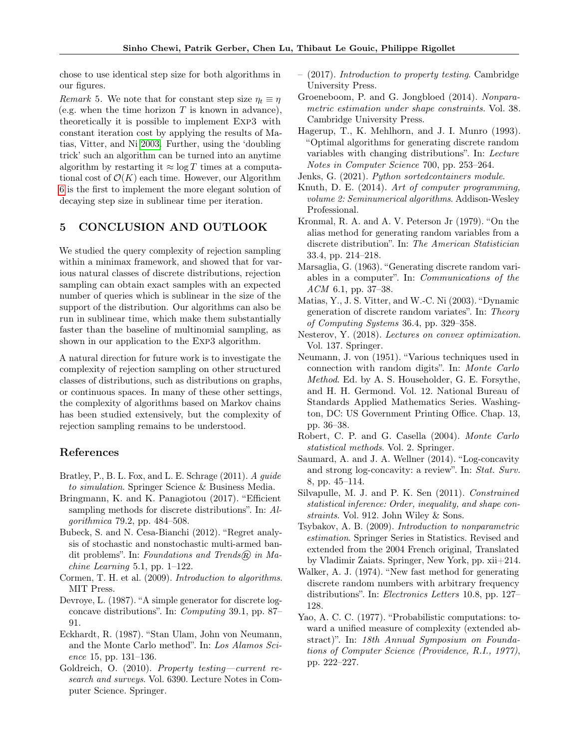chose to use identical step size for both algorithms in our figures.

Remark 5. We note that for constant step size  $\eta_t \equiv \eta$ (e.g. when the time horizon  $T$  is known in advance), theoretically it is possible to implement Exp3 with constant iteration cost by applying the results of Matias, Vitter, and Ni [2003.](#page-6-6) Further, using the 'doubling trick' such an algorithm can be turned into an anytime algorithm by restarting it  $\approx \log T$  times at a computational cost of  $\mathcal{O}(K)$  each time. However, our Algorithm [6](#page-5-0) is the first to implement the more elegant solution of decaying step size in sublinear time per iteration.

# 5 CONCLUSION AND OUTLOOK

We studied the query complexity of rejection sampling within a minimax framework, and showed that for various natural classes of discrete distributions, rejection sampling can obtain exact samples with an expected number of queries which is sublinear in the size of the support of the distribution. Our algorithms can also be run in sublinear time, which make them substantially faster than the baseline of multinomial sampling, as shown in our application to the Exp3 algorithm.

A natural direction for future work is to investigate the complexity of rejection sampling on other structured classes of distributions, such as distributions on graphs, or continuous spaces. In many of these other settings, the complexity of algorithms based on Markov chains has been studied extensively, but the complexity of rejection sampling remains to be understood.

# References

- <span id="page-6-0"></span>Bratley, P., B. L. Fox, and L. E. Schrage (2011). A guide to simulation. Springer Science & Business Media.
- <span id="page-6-7"></span>Bringmann, K. and K. Panagiotou (2017). "Efficient sampling methods for discrete distributions". In: Algorithmica 79.2, pp. 484–508.
- <span id="page-6-14"></span>Bubeck, S. and N. Cesa-Bianchi (2012). "Regret analysis of stochastic and nonstochastic multi-armed bandit problems". In: Foundations and Trends $(R)$  in Ma $chine$  Learning 5.1, pp. 1–122.
- <span id="page-6-21"></span>Cormen, T. H. et al. (2009). Introduction to algorithms. MIT Press.
- <span id="page-6-20"></span>Devroye, L. (1987). "A simple generator for discrete logconcave distributions". In: Computing 39.1, pp. 87– 91.
- <span id="page-6-8"></span>Eckhardt, R. (1987). "Stan Ulam, John von Neumann, and the Monte Carlo method". In: Los Alamos Science 15, pp. 131–136.
- <span id="page-6-12"></span>Goldreich, O. (2010). Property testing—current research and surveys. Vol. 6390. Lecture Notes in Computer Science. Springer.
- <span id="page-6-13"></span>– (2017). Introduction to property testing. Cambridge University Press.
- <span id="page-6-17"></span>Groeneboom, P. and G. Jongbloed (2014). Nonparametric estimation under shape constraints. Vol. 38. Cambridge University Press.
- <span id="page-6-5"></span>Hagerup, T., K. Mehlhorn, and J. I. Munro (1993). "Optimal algorithms for generating discrete random variables with changing distributions". In: Lecture Notes in Computer Science 700, pp. 253–264.
- <span id="page-6-22"></span>Jenks, G. (2021). Python sortedcontainers module.
- <span id="page-6-1"></span>Knuth, D. E. (2014). Art of computer programming, volume 2: Seminumerical algorithms. Addison-Wesley Professional.
- <span id="page-6-2"></span>Kronmal, R. A. and A. V. Peterson Jr (1979). "On the alias method for generating random variables from a discrete distribution". In: The American Statistician 33.4, pp. 214–218.
- <span id="page-6-3"></span>Marsaglia, G. (1963). "Generating discrete random variables in a computer". In: Communications of the ACM 6.1, pp. 37–38.
- <span id="page-6-6"></span>Matias, Y., J. S. Vitter, and W.-C. Ni (2003). "Dynamic generation of discrete random variates". In: Theory of Computing Systems 36.4, pp. 329–358.
- <span id="page-6-10"></span>Nesterov, Y. (2018). Lectures on convex optimization. Vol. 137. Springer.
- <span id="page-6-9"></span>Neumann, J. von (1951). "Various techniques used in connection with random digits". In: Monte Carlo Method. Ed. by A. S. Householder, G. E. Forsythe, and H. H. Germond. Vol. 12. National Bureau of Standards Applied Mathematics Series. Washington, DC: US Government Printing Office. Chap. 13, pp. 36–38.
- <span id="page-6-15"></span>Robert, C. P. and G. Casella (2004). Monte Carlo statistical methods. Vol. 2. Springer.
- <span id="page-6-19"></span>Saumard, A. and J. A. Wellner (2014). "Log-concavity and strong log-concavity: a review". In: Stat. Surv. 8, pp. 45–114.
- <span id="page-6-18"></span>Silvapulle, M. J. and P. K. Sen (2011). Constrained statistical inference: Order, inequality, and shape constraints. Vol. 912. John Wiley & Sons.
- <span id="page-6-11"></span>Tsybakov, A. B. (2009). Introduction to nonparametric estimation. Springer Series in Statistics. Revised and extended from the 2004 French original, Translated by Vladimir Zaiats. Springer, New York, pp. xii+214.
- <span id="page-6-4"></span>Walker, A. J. (1974). "New fast method for generating discrete random numbers with arbitrary frequency distributions". In: Electronics Letters 10.8, pp. 127– 128.
- <span id="page-6-16"></span>Yao, A. C. C. (1977). "Probabilistic computations: toward a unified measure of complexity (extended abstract)". In: 18th Annual Symposium on Foundations of Computer Science (Providence, R.I., 1977), pp. 222–227.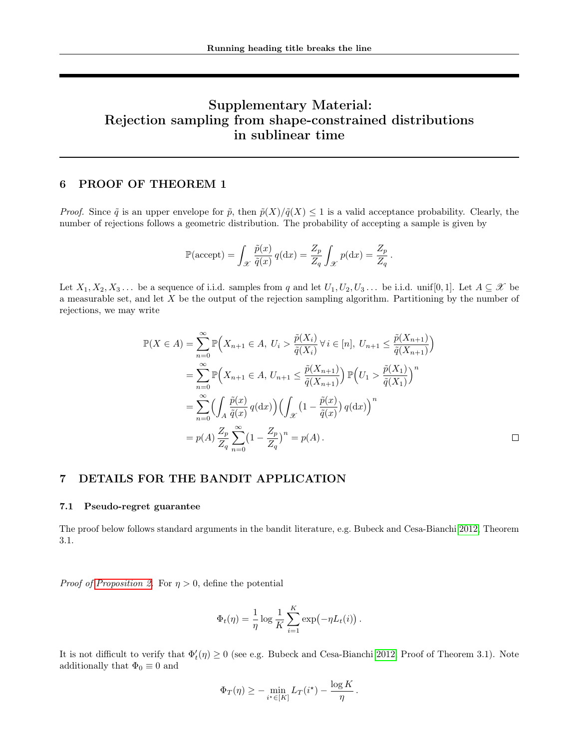# Supplementary Material: Rejection sampling from shape-constrained distributions in sublinear time

# <span id="page-7-0"></span>6 PROOF OF THEOREM 1

*Proof.* Since  $\tilde{q}$  is an upper envelope for  $\tilde{p}$ , then  $\tilde{p}(X)/\tilde{q}(X) \leq 1$  is a valid acceptance probability. Clearly, the number of rejections follows a geometric distribution. The probability of accepting a sample is given by

$$
\mathbb{P}(\text{accept}) = \int_{\mathcal{X}} \frac{\tilde{p}(x)}{\tilde{q}(x)} q(\text{d}x) = \frac{Z_p}{Z_q} \int_{\mathcal{X}} p(\text{d}x) = \frac{Z_p}{Z_q}.
$$

Let  $X_1, X_2, X_3, \ldots$  be a sequence of i.i.d. samples from q and let  $U_1, U_2, U_3, \ldots$  be i.i.d. unif [0, 1]. Let  $A \subseteq \mathcal{X}$  be a measurable set, and let  $X$  be the output of the rejection sampling algorithm. Partitioning by the number of rejections, we may write

$$
\mathbb{P}(X \in A) = \sum_{n=0}^{\infty} \mathbb{P}\Big(X_{n+1} \in A, U_i > \frac{\tilde{p}(X_i)}{\tilde{q}(X_i)} \forall i \in [n], U_{n+1} \le \frac{\tilde{p}(X_{n+1})}{\tilde{q}(X_{n+1})}\Big)
$$
\n
$$
= \sum_{n=0}^{\infty} \mathbb{P}\Big(X_{n+1} \in A, U_{n+1} \le \frac{\tilde{p}(X_{n+1})}{\tilde{q}(X_{n+1})}\Big) \mathbb{P}\Big(U_1 > \frac{\tilde{p}(X_1)}{\tilde{q}(X_1)}\Big)^n
$$
\n
$$
= \sum_{n=0}^{\infty} \Big(\int_A \frac{\tilde{p}(x)}{\tilde{q}(x)} q(\mathrm{d}x)\Big) \Big(\int_{\mathcal{X}} \left(1 - \frac{\tilde{p}(x)}{\tilde{q}(x)}\right) q(\mathrm{d}x)\Big)^n
$$
\n
$$
= p(A) \frac{Z_p}{Z_q} \sum_{n=0}^{\infty} \left(1 - \frac{Z_p}{Z_q}\right)^n = p(A) \, .
$$

# 7 DETAILS FOR THE BANDIT APPLICATION

## <span id="page-7-1"></span>7.1 Pseudo-regret guarantee

The proof below follows standard arguments in the bandit literature, e.g. Bubeck and Cesa-Bianchi [2012,](#page-6-14) Theorem 3.1.

*Proof of [Proposition 2.](#page-5-1)* For  $\eta > 0$ , define the potential

$$
\Phi_t(\eta) = \frac{1}{\eta} \log \frac{1}{K} \sum_{i=1}^K \exp(-\eta L_t(i)).
$$

It is not difficult to verify that  $\Phi'_t(\eta) \ge 0$  (see e.g. Bubeck and Cesa-Bianchi [2012,](#page-6-14) Proof of Theorem 3.1). Note additionally that  $\Phi_0 \equiv 0$  and

$$
\Phi_T(\eta) \ge -\min_{i^* \in [K]} L_T(i^*) - \frac{\log K}{\eta}
$$

.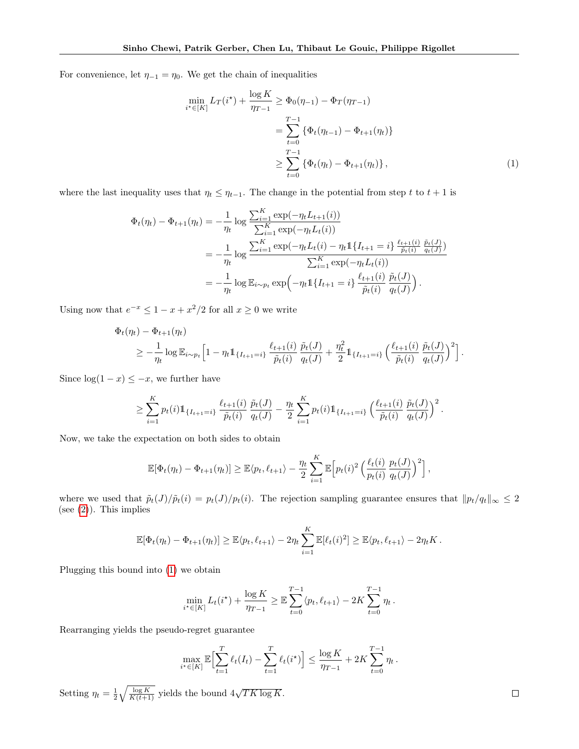For convenience, let  $\eta_{-1} = \eta_0$ . We get the chain of inequalities

<span id="page-8-0"></span>
$$
\min_{i^* \in [K]} L_T(i^*) + \frac{\log K}{\eta_{T-1}} \ge \Phi_0(\eta_{-1}) - \Phi_T(\eta_{T-1})
$$
\n
$$
= \sum_{t=0}^{T-1} \{ \Phi_t(\eta_{t-1}) - \Phi_{t+1}(\eta_t) \}
$$
\n
$$
\ge \sum_{t=0}^{T-1} \{ \Phi_t(\eta_t) - \Phi_{t+1}(\eta_t) \}, \tag{1}
$$

where the last inequality uses that  $\eta_t \leq \eta_{t-1}$ . The change in the potential from step t to  $t + 1$  is

$$
\Phi_t(\eta_t) - \Phi_{t+1}(\eta_t) = -\frac{1}{\eta_t} \log \frac{\sum_{i=1}^K \exp(-\eta_t L_{t+1}(i))}{\sum_{i=1}^K \exp(-\eta_t L_t(i))}
$$
\n
$$
= -\frac{1}{\eta_t} \log \frac{\sum_{i=1}^K \exp(-\eta_t L_t(i) - \eta_t \mathbb{1}\{I_{t+1} = i\} \frac{\ell_{t+1}(i)}{\tilde{p}_t(i)} \frac{\tilde{p}_t(j)}{q_t(j)})}{\sum_{i=1}^K \exp(-\eta_t L_t(i))}
$$
\n
$$
= -\frac{1}{\eta_t} \log \mathbb{E}_{i \sim p_t} \exp\left(-\eta_t \mathbb{1}\{I_{t+1} = i\} \frac{\ell_{t+1}(i)}{\tilde{p}_t(i)} \frac{\tilde{p}_t(j)}{q_t(j)}\right).
$$

Using now that  $e^{-x} \leq 1 - x + x^2/2$  for all  $x \geq 0$  we write

$$
\Phi_t(\eta_t) - \Phi_{t+1}(\eta_t) \n\geq -\frac{1}{\eta_t} \log \mathbb{E}_{i \sim p_t} \Big[ 1 - \eta_t \mathbb{1}_{\{I_{t+1} = i\}} \frac{\ell_{t+1}(i)}{\tilde{p}_t(i)} \frac{\tilde{p}_t(J)}{q_t(J)} + \frac{\eta_t^2}{2} \mathbb{1}_{\{I_{t+1} = i\}} \left( \frac{\ell_{t+1}(i)}{\tilde{p}_t(i)} \frac{\tilde{p}_t(J)}{q_t(J)} \right)^2 \Big].
$$

Since  $log(1-x) \leq -x$ , we further have

$$
\geq \sum_{i=1}^K p_t(i) 1\!\!1_{\{I_{t+1}=i\}}\frac{\ell_{t+1}(i)}{\tilde{p}_t(i)}\frac{\tilde{p}_t(J)}{q_t(J)} - \frac{\eta_t}{2}\sum_{i=1}^K p_t(i)1\!\!1_{\{I_{t+1}=i\}}\left(\frac{\ell_{t+1}(i)}{\tilde{p}_t(i)}\frac{\tilde{p}_t(J)}{q_t(J)}\right)^2.
$$

Now, we take the expectation on both sides to obtain

$$
\mathbb{E}[\Phi_t(\eta_t) - \Phi_{t+1}(\eta_t)] \geq \mathbb{E}\langle p_t, \ell_{t+1}\rangle - \frac{\eta_t}{2} \sum_{i=1}^K \mathbb{E}\Big[p_t(i)^2 \left(\frac{\ell_t(i)}{p_t(i)} \frac{p_t(J)}{q_t(J)}\right)^2\Big],
$$

where we used that  $\tilde{p}_t(J)/\tilde{p}_t(i) = p_t(J)/p_t(i)$ . The rejection sampling guarantee ensures that  $||p_t/q_t||_{\infty} \leq 2$ (see  $(2)$ ). This implies

$$
\mathbb{E}[\Phi_t(\eta_t) - \Phi_{t+1}(\eta_t)] \geq \mathbb{E}\langle p_t, \ell_{t+1}\rangle - 2\eta_t \sum_{i=1}^K \mathbb{E}[\ell_t(i)^2] \geq \mathbb{E}\langle p_t, \ell_{t+1}\rangle - 2\eta_t K.
$$

Plugging this bound into [\(1\)](#page-8-0) we obtain

$$
\min_{i^* \in [K]} L_t(i^*) + \frac{\log K}{\eta_{T-1}} \geq \mathbb{E} \sum_{t=0}^{T-1} \langle p_t, \ell_{t+1} \rangle - 2K \sum_{t=0}^{T-1} \eta_t.
$$

Rearranging yields the pseudo-regret guarantee

$$
\max_{i^* \in [K]} \mathbb{E} \Biggl[ \sum_{t=1}^T \ell_t(I_t) - \sum_{t=1}^T \ell_t(i^*) \Biggr] \le \frac{\log K}{\eta_{T-1}} + 2K \sum_{t=0}^{T-1} \eta_t \, .
$$

Setting  $\eta_t = \frac{1}{2} \sqrt{\frac{\log K}{K(t+1)}}$  yields the bound  $4\sqrt{TK \log K}$ .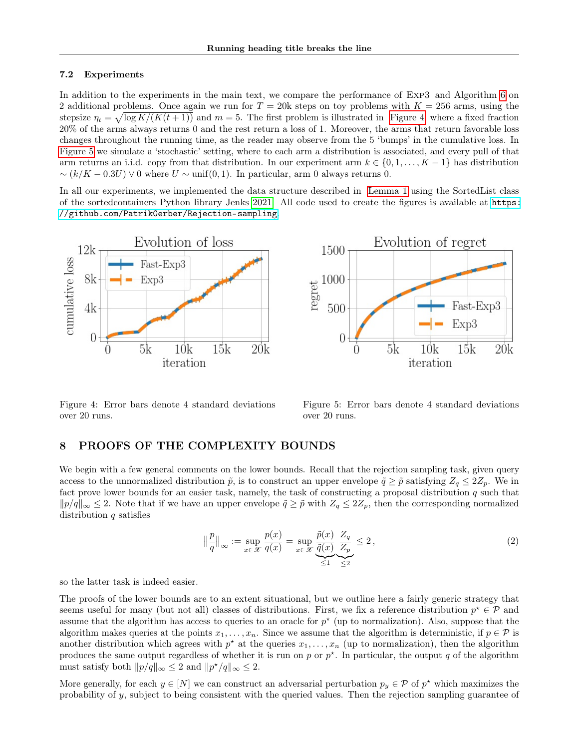# <span id="page-9-0"></span>7.2 Experiments

In addition to the experiments in the main text, we compare the performance of Exp3 and Algorithm [6](#page-5-0) on 2 additional problems. Once again we run for  $T = 20k$  steps on toy problems with  $K = 256$  arms, using the stepsize  $\eta_t = \sqrt{\log K/(K(t+1))}$  and  $m = 5$ . The first problem is illustrated in [Figure 4,](#page-9-2) where a fixed fraction 20% of the arms always returns 0 and the rest return a loss of 1. Moreover, the arms that return favorable loss changes throughout the running time, as the reader may observe from the 5 'bumps' in the cumulative loss. In [Figure 5](#page-9-3) we simulate a 'stochastic' setting, where to each arm a distribution is associated, and every pull of that arm returns an i.i.d. copy from that distribution. In our experiment arm  $k \in \{0, 1, \ldots, K-1\}$  has distribution  $\sim (k/K - 0.3U) \vee 0$  where  $U \sim \text{unif}(0, 1)$ . In particular, arm 0 always returns 0.

In all our experiments, we implemented the data structure described in [Lemma 1](#page-4-1) using the SortedList class of the sortedcontainers Python library Jenks [2021.](#page-6-22) All code used to create the figures is available at [https:](https://github.com/PatrikGerber/Rejection-sampling) [//github.com/PatrikGerber/Rejection-sampling](https://github.com/PatrikGerber/Rejection-sampling).





<span id="page-9-2"></span>Figure 4: Error bars denote 4 standard deviations over 20 runs.

<span id="page-9-3"></span><span id="page-9-1"></span>Figure 5: Error bars denote 4 standard deviations over 20 runs.

# 8 PROOFS OF THE COMPLEXITY BOUNDS

We begin with a few general comments on the lower bounds. Recall that the rejection sampling task, given query access to the unnormalized distribution  $\tilde{p}$ , is to construct an upper envelope  $\tilde{q} \geq \tilde{p}$  satisfying  $Z_q \leq 2Z_p$ . We in fact prove lower bounds for an easier task, namely, the task of constructing a proposal distribution  $q$  such that  $||p/q||_{\infty} \leq 2$ . Note that if we have an upper envelope  $\tilde{q} \geq \tilde{p}$  with  $Z_q \leq 2Z_p$ , then the corresponding normalized distribution  $q$  satisfies

$$
\left\| \frac{p}{q} \right\|_{\infty} := \sup_{x \in \mathcal{X}} \frac{p(x)}{q(x)} = \sup_{x \in \mathcal{X}} \underbrace{\frac{\tilde{p}(x)}{\tilde{q}(x)}}_{\leq 1} \underbrace{\frac{Z_q}{Z_p}}_{\leq 2} \leq 2, \tag{2}
$$

so the latter task is indeed easier.

The proofs of the lower bounds are to an extent situational, but we outline here a fairly generic strategy that seems useful for many (but not all) classes of distributions. First, we fix a reference distribution  $p^* \in \mathcal{P}$  and assume that the algorithm has access to queries to an oracle for  $p^*$  (up to normalization). Also, suppose that the algorithm makes queries at the points  $x_1, \ldots, x_n$ . Since we assume that the algorithm is deterministic, if  $p \in \mathcal{P}$  is another distribution which agrees with  $p^*$  at the queries  $x_1, \ldots, x_n$  (up to normalization), then the algorithm produces the same output regardless of whether it is run on  $p$  or  $p^*$ . In particular, the output  $q$  of the algorithm must satisfy both  $||p/q||_{\infty} \leq 2$  and  $||p^{\star}/q||_{\infty} \leq 2$ .

More generally, for each  $y \in [N]$  we can construct an adversarial perturbation  $p_y \in \mathcal{P}$  of  $p^*$  which maximizes the probability of y, subject to being consistent with the queried values. Then the rejection sampling guarantee of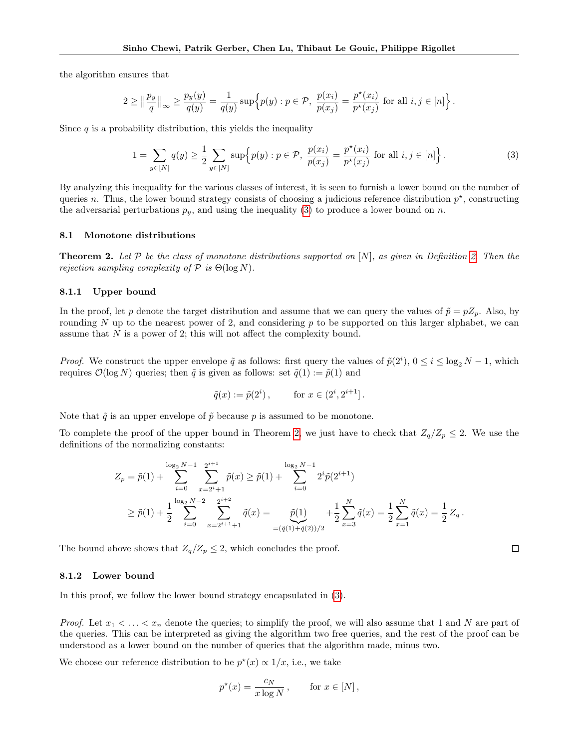the algorithm ensures that

$$
2\geq \big\|\frac{p_y}{q}\big\|_\infty\geq \frac{p_y(y)}{q(y)}=\frac{1}{q(y)}\sup\Big\{p(y): p\in\mathcal{P},\;\frac{p(x_i)}{p(x_j)}=\frac{p^\star(x_i)}{p^\star(x_j)}\;\text{for all}\; i,j\in[n]\Big\}\,.
$$

Since  $q$  is a probability distribution, this yields the inequality

<span id="page-10-1"></span>
$$
1 = \sum_{y \in [N]} q(y) \ge \frac{1}{2} \sum_{y \in [N]} \sup \Big{ p(y) : p \in \mathcal{P}, \ \frac{p(x_i)}{p(x_j)} = \frac{p^*(x_i)}{p^*(x_j)} \text{ for all } i, j \in [n] \Big\}.
$$
 (3)

By analyzing this inequality for the various classes of interest, it is seen to furnish a lower bound on the number of queries n. Thus, the lower bound strategy consists of choosing a judicious reference distribution  $p^*$ , constructing the adversarial perturbations  $p_y$ , and using the inequality [\(3\)](#page-10-1) to produce a lower bound on n.

#### 8.1 Monotone distributions

<span id="page-10-0"></span>**Theorem [2.](#page-3-1)** Let  $P$  be the class of monotone distributions supported on  $[N]$ , as given in Definition 2. Then the rejection sampling complexity of  $P$  is  $\Theta(\log N)$ .

# 8.1.1 Upper bound

In the proof, let p denote the target distribution and assume that we can query the values of  $\tilde{p} = pZ_p$ . Also, by rounding  $N$  up to the nearest power of 2, and considering  $p$  to be supported on this larger alphabet, we can assume that  $N$  is a power of 2; this will not affect the complexity bound.

*Proof.* We construct the upper envelope  $\tilde{q}$  as follows: first query the values of  $\tilde{p}(2^i)$ ,  $0 \le i \le \log_2 N - 1$ , which requires  $\mathcal{O}(\log N)$  queries; then  $\tilde{q}$  is given as follows: set  $\tilde{q}(1) := \tilde{p}(1)$  and

$$
\tilde{q}(x) := \tilde{p}(2^i), \quad \text{for } x \in (2^i, 2^{i+1}].
$$

Note that  $\tilde{q}$  is an upper envelope of  $\tilde{p}$  because p is assumed to be monotone.

To complete the proof of the upper bound in Theorem [2,](#page-10-0) we just have to check that  $Z_q/Z_p \leq 2$ . We use the definitions of the normalizing constants:

$$
Z_p = \tilde{p}(1) + \sum_{i=0}^{\log_2 N - 1} \sum_{x=2^{i+1}}^{2^{i+1}} \tilde{p}(x) \ge \tilde{p}(1) + \sum_{i=0}^{\log_2 N - 1} 2^i \tilde{p}(2^{i+1})
$$
  

$$
\ge \tilde{p}(1) + \frac{1}{2} \sum_{i=0}^{\log_2 N - 2} \sum_{x=2^{i+1}+1}^{2^{i+2}} \tilde{q}(x) = \underbrace{\tilde{p}(1)}_{=(\tilde{q}(1) + \tilde{q}(2))/2} + \frac{1}{2} \sum_{x=3}^N \tilde{q}(x) = \frac{1}{2} \sum_{x=1}^N \tilde{q}(x) = \frac{1}{2} Z_q.
$$

The bound above shows that  $Z_q/Z_p \leq 2$ , which concludes the proof.

# <span id="page-10-2"></span>8.1.2 Lower bound

In this proof, we follow the lower bound strategy encapsulated in  $(3)$ .

*Proof.* Let  $x_1 < \ldots < x_n$  denote the queries; to simplify the proof, we will also assume that 1 and N are part of the queries. This can be interpreted as giving the algorithm two free queries, and the rest of the proof can be understood as a lower bound on the number of queries that the algorithm made, minus two.

We choose our reference distribution to be  $p^*(x) \propto 1/x$ , i.e., we take

$$
p^*(x) = \frac{c_N}{x \log N}, \quad \text{for } x \in [N],
$$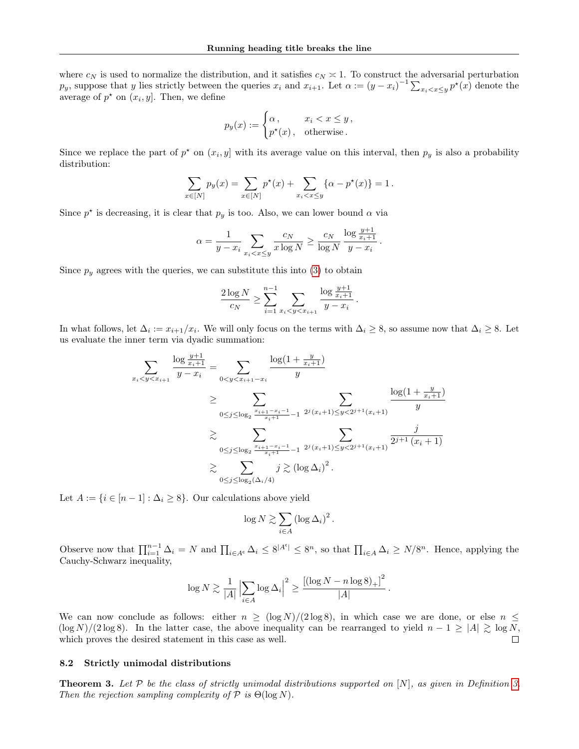where  $c_N$  is used to normalize the distribution, and it satisfies  $c_N \geq 1$ . To construct the adversarial perturbation  $p_y$ , suppose that y lies strictly between the queries  $x_i$  and  $x_{i+1}$ . Let  $\alpha := (y - x_i)^{-1} \sum_{x_i < x \leq y} p^*(x)$  denote the average of  $p^*$  on  $(x_i, y]$ . Then, we define

$$
p_y(x) := \begin{cases} \alpha, & x_i < x \le y, \\ p^*(x), & \text{otherwise.} \end{cases}
$$

Since we replace the part of  $p^*$  on  $(x_i, y]$  with its average value on this interval, then  $p_y$  is also a probability distribution:

$$
\sum_{x \in [N]} p_y(x) = \sum_{x \in [N]} p^*(x) + \sum_{x_i < x \le y} \{ \alpha - p^*(x) \} = 1 \, .
$$

Since  $p^*$  is decreasing, it is clear that  $p_y$  is too. Also, we can lower bound  $\alpha$  via

$$
\alpha = \frac{1}{y - x_i} \sum_{x_i < x \le y} \frac{c_N}{x \log N} \ge \frac{c_N}{\log N} \frac{\log \frac{y + 1}{x_i + 1}}{y - x_i} \, .
$$

Since  $p_y$  agrees with the queries, we can substitute this into [\(3\)](#page-10-1) to obtain

$$
\frac{2\log N}{c_N} \ge \sum_{i=1}^{n-1} \sum_{x_i < y < x_{i+1}} \frac{\log \frac{y+1}{x_i+1}}{y-x_i}.
$$

In what follows, let  $\Delta_i := x_{i+1}/x_i$ . We will only focus on the terms with  $\Delta_i \geq 8$ , so assume now that  $\Delta_i \geq 8$ . Let us evaluate the inner term via dyadic summation:

$$
\sum_{x_i < y < x_{i+1}} \frac{\log \frac{y+1}{x_i+1}}{y-x_i} = \sum_{0 < y < x_{i+1}-x_i} \frac{\log(1+\frac{y}{x_i+1})}{y}
$$
\n
$$
\geq \sum_{0 \leq j \leq \log_2 \frac{x_{i+1}-x_{i}-1}{x_i+1}-1} \frac{2^j(x_i+1) \leq y < 2^{j+1}(x_i+1)}{y}
$$
\n
$$
\geq \sum_{0 \leq j \leq \log_2 \frac{x_{i+1}-x_{i}-1}{x_i+1}-1} \frac{2^j(x_i+1) \leq y < 2^{j+1}(x_i+1)}{2^{j+1}(x_i+1)}
$$
\n
$$
\geq \sum_{0 \leq j \leq \log_2(\Delta_i/4)} j \geq (\log \Delta_i)^2.
$$

Let  $A := \{i \in [n-1] : \Delta_i \geq 8\}$ . Our calculations above yield

$$
\log N \gtrsim \sum_{i \in A} \left( \log \Delta_i \right)^2.
$$

Observe now that  $\prod_{i=1}^{n-1} \Delta_i = N$  and  $\prod_{i \in A^c} \Delta_i \leq 8^{|A^c|} \leq 8^n$ , so that  $\prod_{i \in A} \Delta_i \geq N/8^n$ . Hence, applying the Cauchy-Schwarz inequality,

$$
\log N \gtrsim \frac{1}{|A|} \left|\sum_{i\in A} \log \Delta_i \right|^2 \geq \frac{\left[ (\log N - n \log 8)_+ \right]^2}{|A|}.
$$

We can now conclude as follows: either  $n \geq (\log N)/(2 \log 8)$ , in which case we are done, or else  $n \leq$  $(\log N)/(2 \log 8)$ . In the latter case, the above inequality can be rearranged to yield  $n - 1 \geq |A| \geq \log N$ , which proves the desired statement in this case as well.  $\Box$ 

#### 8.2 Strictly unimodal distributions

<span id="page-11-0"></span>**Theorem [3.](#page-3-2)** Let  $P$  be the class of strictly unimodal distributions supported on  $[N]$ , as given in Definition 3. Then the rejection sampling complexity of  $P$  is  $\Theta(\log N)$ .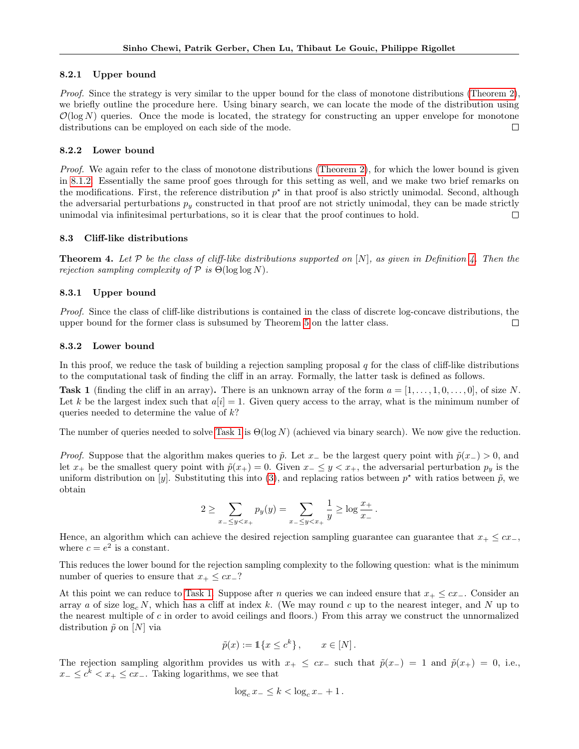# 8.2.1 Upper bound

Proof. Since the strategy is very similar to the upper bound for the class of monotone distributions [\(Theorem 2\)](#page-10-0), we briefly outline the procedure here. Using binary search, we can locate the mode of the distribution using  $\mathcal{O}(\log N)$  queries. Once the mode is located, the strategy for constructing an upper envelope for monotone distributions can be employed on each side of the mode.  $\Box$ 

# 8.2.2 Lower bound

Proof. We again refer to the class of monotone distributions [\(Theorem 2\)](#page-10-0), for which the lower bound is given in [8.1.2.](#page-10-2) Essentially the same proof goes through for this setting as well, and we make two brief remarks on the modifications. First, the reference distribution  $p^*$  in that proof is also strictly unimodal. Second, although the adversarial perturbations  $p_y$  constructed in that proof are not strictly unimodal, they can be made strictly unimodal via infinitesimal perturbations, so it is clear that the proof continues to hold.  $\Box$ 

# 8.3 Cliff-like distributions

<span id="page-12-0"></span>**Theorem [4.](#page-3-3)** Let P be the class of cliff-like distributions supported on  $[N]$ , as given in Definition 4. Then the rejection sampling complexity of  $P$  is  $\Theta(\log \log N)$ .

# 8.3.1 Upper bound

Proof. Since the class of cliff-like distributions is contained in the class of discrete log-concave distributions, the upper bound for the former class is subsumed by Theorem [5](#page-13-0) on the latter class.  $\Box$ 

# 8.3.2 Lower bound

In this proof, we reduce the task of building a rejection sampling proposal  $q$  for the class of cliff-like distributions to the computational task of finding the cliff in an array. Formally, the latter task is defined as follows.

<span id="page-12-1"></span>**Task 1** (finding the cliff in an array). There is an unknown array of the form  $a = [1, \ldots, 1, 0, \ldots, 0]$ , of size N. Let k be the largest index such that  $a[i] = 1$ . Given query access to the array, what is the minimum number of queries needed to determine the value of  $k$ ?

The number of queries needed to solve [Task 1](#page-12-1) is  $\Theta(\log N)$  (achieved via binary search). We now give the reduction.

*Proof.* Suppose that the algorithm makes queries to  $\tilde{p}$ . Let  $x_$  be the largest query point with  $\tilde{p}(x_>) > 0$ , and let  $x_+$  be the smallest query point with  $\tilde{p}(x_+) = 0$ . Given  $x_- \le y < x_+$ , the adversarial perturbation  $p_y$  is the uniform distribution on [y]. Substituting this into [\(3\)](#page-10-1), and replacing ratios between  $p^*$  with ratios between  $\tilde{p}$ , we obtain

$$
2 \ge \sum_{x_{-} \le y < x_{+}} p_{y}(y) = \sum_{x_{-} \le y < x_{+}} \frac{1}{y} \ge \log \frac{x_{+}}{x_{-}}.
$$

Hence, an algorithm which can achieve the desired rejection sampling guarantee can guarantee that  $x_+ \leq cx_-,$ where  $c = e^2$  is a constant.

This reduces the lower bound for the rejection sampling complexity to the following question: what is the minimum number of queries to ensure that  $x_+ \leq cx_-\$ ?

At this point we can reduce to [Task 1.](#page-12-1) Suppose after *n* queries we can indeed ensure that  $x_+ \leq cx_-\$ . Consider an array a of size  $log_c N$ , which has a cliff at index k. (We may round c up to the nearest integer, and N up to the nearest multiple of c in order to avoid ceilings and floors.) From this array we construct the unnormalized distribution  $\tilde{p}$  on  $[N]$  via

$$
\tilde{p}(x) := \mathbb{1}\{x \le c^k\}, \qquad x \in [N].
$$

The rejection sampling algorithm provides us with  $x_+ \leq cx_-$  such that  $\tilde{p}(x_-) = 1$  and  $\tilde{p}(x_+) = 0$ , i.e.,  $x_{-} \leq c^{k} < x_{+} \leq cx_{-}$ . Taking logarithms, we see that

$$
\log_c x_- \leq k < \log_c x_- + 1 \, .
$$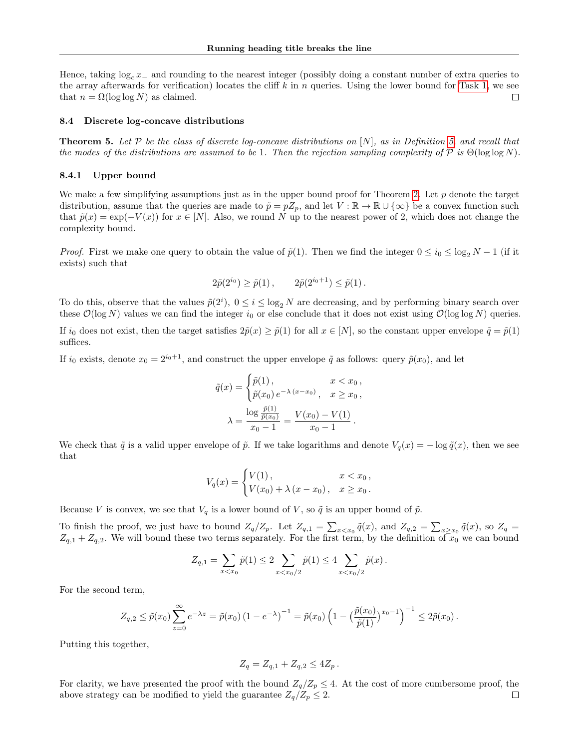Hence, taking  $\log_c x_$  and rounding to the nearest integer (possibly doing a constant number of extra queries to the array afterwards for verification) locates the cliff  $k$  in n queries. Using the lower bound for [Task 1,](#page-12-1) we see that  $n = \Omega(\log \log N)$  as claimed.  $\Box$ 

#### 8.4 Discrete log-concave distributions

<span id="page-13-0"></span>**Theorem 5.** Let  $P$  be the class of discrete log-concave distributions on  $[N]$ , as in Definition [5,](#page-3-4) and recall that the modes of the distributions are assumed to be 1. Then the rejection sampling complexity of P is  $\Theta(\log \log N)$ .

# 8.4.1 Upper bound

We make a few simplifying assumptions just as in the upper bound proof for Theorem [2.](#page-10-0) Let  $p$  denote the target distribution, assume that the queries are made to  $\tilde{p} = pZ_p$ , and let  $V : \mathbb{R} \to \mathbb{R} \cup \{\infty\}$  be a convex function such that  $\tilde{p}(x) = \exp(-V(x))$  for  $x \in [N]$ . Also, we round N up to the nearest power of 2, which does not change the complexity bound.

*Proof.* First we make one query to obtain the value of  $\tilde{p}(1)$ . Then we find the integer  $0 \leq i_0 \leq \log_2 N - 1$  (if it exists) such that

$$
2\tilde{p}(2^{i_0}) \ge \tilde{p}(1) , \qquad 2\tilde{p}(2^{i_0+1}) \le \tilde{p}(1) .
$$

To do this, observe that the values  $\tilde{p}(2^i)$ ,  $0 \le i \le \log_2 N$  are decreasing, and by performing binary search over these  $\mathcal{O}(\log N)$  values we can find the integer  $i_0$  or else conclude that it does not exist using  $\mathcal{O}(\log \log N)$  queries.

If  $i_0$  does not exist, then the target satisfies  $2\tilde{p}(x) \geq \tilde{p}(1)$  for all  $x \in [N]$ , so the constant upper envelope  $\tilde{q} = \tilde{p}(1)$ suffices.

If  $i_0$  exists, denote  $x_0 = 2^{i_0+1}$ , and construct the upper envelope  $\tilde{q}$  as follows: query  $\tilde{p}(x_0)$ , and let

$$
\tilde{q}(x) = \begin{cases}\n\tilde{p}(1), & x < x_0, \\
\tilde{p}(x_0) e^{-\lambda (x - x_0)}, & x \ge x_0, \\
\lambda = \frac{\log \frac{\tilde{p}(1)}{\tilde{p}(x_0)}}{x_0 - 1} = \frac{V(x_0) - V(1)}{x_0 - 1}.\n\end{cases}
$$

We check that  $\tilde{q}$  is a valid upper envelope of  $\tilde{p}$ . If we take logarithms and denote  $V_q(x) = -\log \tilde{q}(x)$ , then we see that

$$
V_q(x) = \begin{cases} V(1), & x < x_0, \\ V(x_0) + \lambda (x - x_0), & x \ge x_0. \end{cases}
$$

Because V is convex, we see that  $V_q$  is a lower bound of V, so  $\tilde{q}$  is an upper bound of  $\tilde{p}$ .

To finish the proof, we just have to bound  $Z_q/Z_p$ . Let  $Z_{q,1} = \sum_{x \le x_0} \tilde{q}(x)$ , and  $Z_{q,2} = \sum_{x \ge x_0} \tilde{q}(x)$ , so  $Z_q =$  $Z_{q,1} + Z_{q,2}$ . We will bound these two terms separately. For the first term, by the definition of  $x_0$  we can bound

$$
Z_{q,1} = \sum_{x < x_0} \tilde{p}(1) \le 2 \sum_{x < x_0/2} \tilde{p}(1) \le 4 \sum_{x < x_0/2} \tilde{p}(x).
$$

For the second term,

$$
Z_{q,2} \leq \tilde{p}(x_0) \sum_{z=0}^{\infty} e^{-\lambda z} = \tilde{p}(x_0) (1 - e^{-\lambda})^{-1} = \tilde{p}(x_0) \left(1 - \left(\frac{\tilde{p}(x_0)}{\tilde{p}(1)}\right)^{x_0 - 1}\right)^{-1} \leq 2\tilde{p}(x_0).
$$

Putting this together,

$$
Z_q = Z_{q,1} + Z_{q,2} \le 4Z_p.
$$

For clarity, we have presented the proof with the bound  $Z_q/Z_p \leq 4$ . At the cost of more cumbersome proof, the above strategy can be modified to yield the guarantee  $Z_q/Z_p \leq 2$ .  $\Box$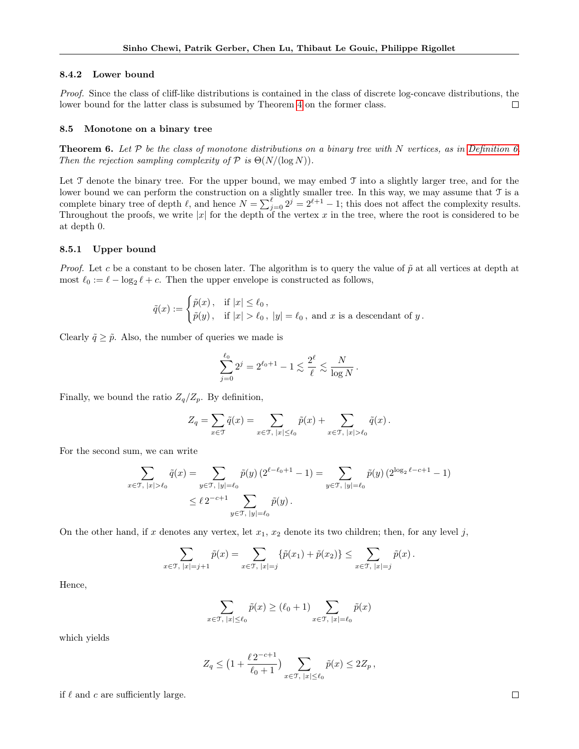#### 8.4.2 Lower bound

Proof. Since the class of cliff-like distributions is contained in the class of discrete log-concave distributions, the lower bound for the latter class is subsumed by Theorem [4](#page-12-0) on the former class. П

#### 8.5 Monotone on a binary tree

<span id="page-14-0"></span>**Theorem 6.** Let  $P$  be the class of monotone distributions on a binary tree with N vertices, as in [Definition 6.](#page-3-5) Then the rejection sampling complexity of  $P$  is  $\Theta(N/(\log N))$ .

Let  $\mathcal T$  denote the binary tree. For the upper bound, we may embed  $\mathcal T$  into a slightly larger tree, and for the lower bound we can perform the construction on a slightly smaller tree. In this way, we may assume that T is a complete binary tree of depth  $\ell$ , and hence  $N = \sum_{j=0}^{\ell} 2^{j} = 2^{\ell+1} - 1$ ; this does not affect the complexity results. Throughout the proofs, we write |x| for the depth of the vertex x in the tree, where the root is considered to be at depth 0.

## 8.5.1 Upper bound

*Proof.* Let c be a constant to be chosen later. The algorithm is to query the value of  $\tilde{p}$  at all vertices at depth at most  $\ell_0 := \ell - \log_2 \ell + c$ . Then the upper envelope is constructed as follows,

$$
\tilde{q}(x) := \begin{cases} \tilde{p}(x), & \text{if } |x| \leq \ell_0, \\ \tilde{p}(y), & \text{if } |x| > \ell_0, |y| = \ell_0, \text{ and } x \text{ is a descendant of } y. \end{cases}
$$

Clearly  $\tilde{q} \geq \tilde{p}$ . Also, the number of queries we made is

$$
\sum_{j=0}^{\ell_0} 2^j = 2^{\ell_0 + 1} - 1 \lesssim \frac{2^{\ell}}{\ell} \lesssim \frac{N}{\log N} \, .
$$

Finally, we bound the ratio  $Z_q/Z_p$ . By definition,

$$
Z_q = \sum_{x \in \mathfrak{T}} \tilde{q}(x) = \sum_{x \in \mathfrak{T}, \ |x| \leq \ell_0} \tilde{p}(x) + \sum_{x \in \mathfrak{T}, \ |x| > \ell_0} \tilde{q}(x) .
$$

For the second sum, we can write

$$
\sum_{x \in \mathcal{T}, |x| > \ell_0} \tilde{q}(x) = \sum_{y \in \mathcal{T}, |y| = \ell_0} \tilde{p}(y) \left( 2^{\ell - \ell_0 + 1} - 1 \right) = \sum_{y \in \mathcal{T}, |y| = \ell_0} \tilde{p}(y) \left( 2^{\log_2 \ell - c + 1} - 1 \right)
$$
  

$$
\leq \ell \, 2^{-c + 1} \sum_{y \in \mathcal{T}, |y| = \ell_0} \tilde{p}(y).
$$

On the other hand, if x denotes any vertex, let  $x_1, x_2$  denote its two children; then, for any level j,

$$
\sum_{x \in \mathcal{T}, |x| = j+1} \tilde{p}(x) = \sum_{x \in \mathcal{T}, |x| = j} \{ \tilde{p}(x_1) + \tilde{p}(x_2) \} \le \sum_{x \in \mathcal{T}, |x| = j} \tilde{p}(x) .
$$

Hence,

$$
\sum_{x \in \mathcal{T}, \ |x| \le \ell_0} \tilde{p}(x) \ge (\ell_0 + 1) \sum_{x \in \mathcal{T}, \ |x| = \ell_0} \tilde{p}(x)
$$

which yields

$$
Z_q \le \left(1 + \frac{\ell \, 2^{-c+1}}{\ell_0 + 1}\right) \sum_{x \in \mathcal{T}, \ |x| \le \ell_0} \tilde{p}(x) \le 2Z_p \,,
$$

if  $\ell$  and c are sufficiently large.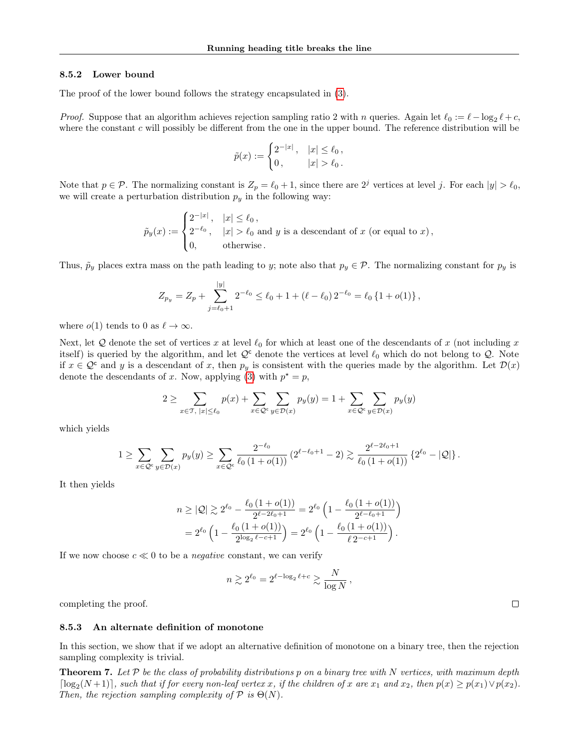## <span id="page-15-1"></span>8.5.2 Lower bound

The proof of the lower bound follows the strategy encapsulated in [\(3\)](#page-10-1).

*Proof.* Suppose that an algorithm achieves rejection sampling ratio 2 with n queries. Again let  $\ell_0 := \ell - \log_2 \ell + c$ , where the constant  $c$  will possibly be different from the one in the upper bound. The reference distribution will be

$$
\tilde{p}(x) := \begin{cases} 2^{-|x|}, & |x| \le \ell_0, \\ 0, & |x| > \ell_0. \end{cases}
$$

Note that  $p \in \mathcal{P}$ . The normalizing constant is  $Z_p = \ell_0 + 1$ , since there are  $2^j$  vertices at level j. For each  $|y| > \ell_0$ , we will create a perturbation distribution  $p_y$  in the following way:

$$
\tilde{p}_y(x) := \begin{cases} 2^{-|x|}, & |x| \le \ell_0, \\ 2^{-\ell_0}, & |x| > \ell_0 \text{ and } y \text{ is a descendant of } x \text{ (or equal to } x), \\ 0, & \text{otherwise.} \end{cases}
$$

Thus,  $\tilde{p}_y$  places extra mass on the path leading to y; note also that  $p_y \in \mathcal{P}$ . The normalizing constant for  $p_y$  is

$$
Z_{p_y} = Z_p + \sum_{j=\ell_0+1}^{|y|} 2^{-\ell_0} \le \ell_0 + 1 + (\ell - \ell_0) 2^{-\ell_0} = \ell_0 \left\{ 1 + o(1) \right\},\,
$$

where  $o(1)$  tends to 0 as  $\ell \to \infty$ .

Next, let Q denote the set of vertices x at level  $\ell_0$  for which at least one of the descendants of x (not including x itself) is queried by the algorithm, and let  $\mathcal{Q}^c$  denote the vertices at level  $\ell_0$  which do not belong to  $\mathcal{Q}$ . Note if  $x \in \mathcal{Q}^c$  and y is a descendant of x, then  $p_y$  is consistent with the queries made by the algorithm. Let  $\mathcal{D}(x)$ denote the descendants of x. Now, applying [\(3\)](#page-10-1) with  $p^* = p$ ,

$$
2 \ge \sum_{x \in \mathfrak{T}, \ |x| \le \ell_0} p(x) + \sum_{x \in \mathcal{Q}^c} \sum_{y \in \mathcal{D}(x)} p_y(y) = 1 + \sum_{x \in \mathcal{Q}^c} \sum_{y \in \mathcal{D}(x)} p_y(y)
$$

which yields

$$
1 \geq \sum_{x \in \mathcal{Q}^c} \sum_{y \in \mathcal{D}(x)} p_y(y) \geq \sum_{x \in \mathcal{Q}^c} \frac{2^{-\ell_0}}{\ell_0 \left(1 + o(1)\right)} \left(2^{\ell - \ell_0 + 1} - 2\right) \gtrsim \frac{2^{\ell - 2\ell_0 + 1}}{\ell_0 \left(1 + o(1)\right)} \left\{2^{\ell_0} - |\mathcal{Q}|\right\}.
$$

It then yields

$$
n \geq |\mathcal{Q}| \gtrsim 2^{\ell_0} - \frac{\ell_0 (1 + o(1))}{2^{\ell - 2\ell_0 + 1}} = 2^{\ell_0} \left( 1 - \frac{\ell_0 (1 + o(1))}{2^{\ell - \ell_0 + 1}} \right)
$$
  
=  $2^{\ell_0} \left( 1 - \frac{\ell_0 (1 + o(1))}{2^{\log_2 \ell - c + 1}} \right) = 2^{\ell_0} \left( 1 - \frac{\ell_0 (1 + o(1))}{\ell 2^{-c + 1}} \right).$ 

If we now choose  $c \ll 0$  to be a *negative* constant, we can verify

$$
n \gtrsim 2^{\ell_0} = 2^{\ell - \log_2 \ell + c} \gtrsim \frac{N}{\log N},
$$

completing the proof.

#### 8.5.3 An alternate definition of monotone

In this section, we show that if we adopt an alternative definition of monotone on a binary tree, then the rejection sampling complexity is trivial.

<span id="page-15-0"></span>**Theorem 7.** Let  $\mathcal P$  be the class of probability distributions p on a binary tree with N vertices, with maximum depth  $\lceil \log_2(N+1) \rceil$ , such that if for every non-leaf vertex x, if the children of x are  $x_1$  and  $x_2$ , then  $p(x) \geq p(x_1) \vee p(x_2)$ . Then, the rejection sampling complexity of  $\mathcal P$  is  $\Theta(N)$ .